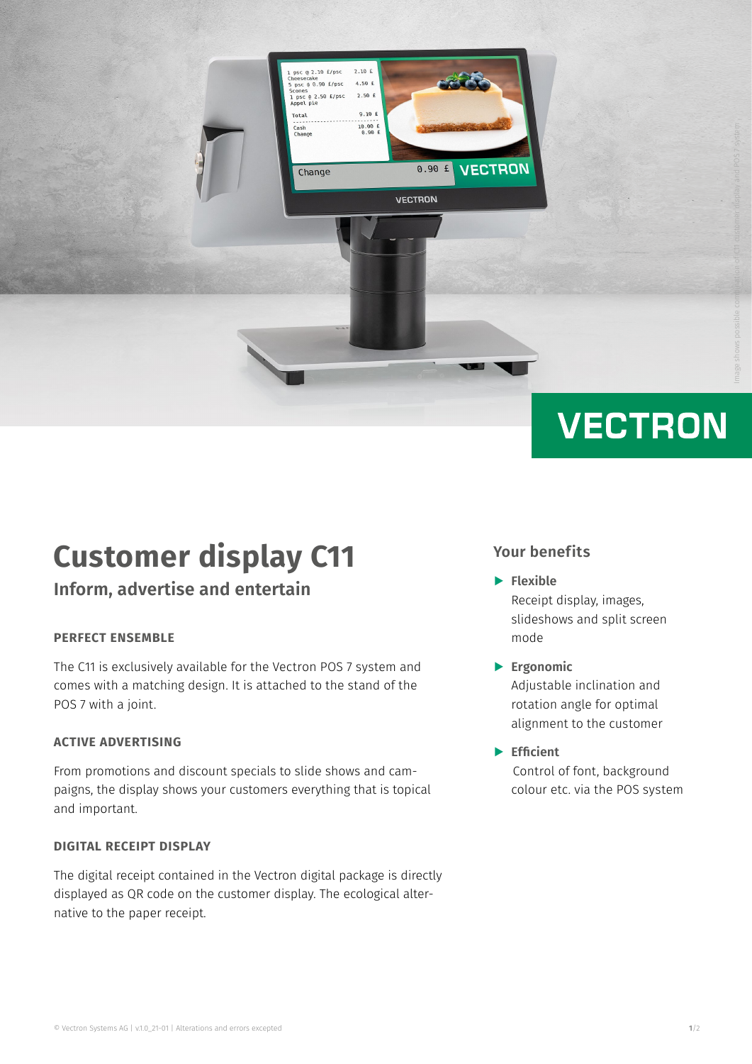

# **Customer display C11**

### **Inform, advertise and entertain**

### **PERFECT ENSEMBLE**

The C11 is exclusively available for the Vectron POS 7 system and comes with a matching design. It is attached to the stand of the POS 7 with a joint.

### **ACTIVE ADVERTISING**

From promotions and discount specials to slide shows and campaigns, the display shows your customers everything that is topical and important.

### **DIGITAL RECEIPT DISPLAY**

The digital receipt contained in the Vectron digital package is directly displayed as QR code on the customer display. The ecological alternative to the paper receipt.

### **Your benefits**

- A **Flexible**  Receipt display, images, slideshows and split screen mode
- A **Ergonomic** Adjustable inclination and rotation angle for optimal alignment to the customer
- A **Efficient** Control of font, background colour etc. via the POS system

Image shows possible combination of C11 customer display and POS 7 system